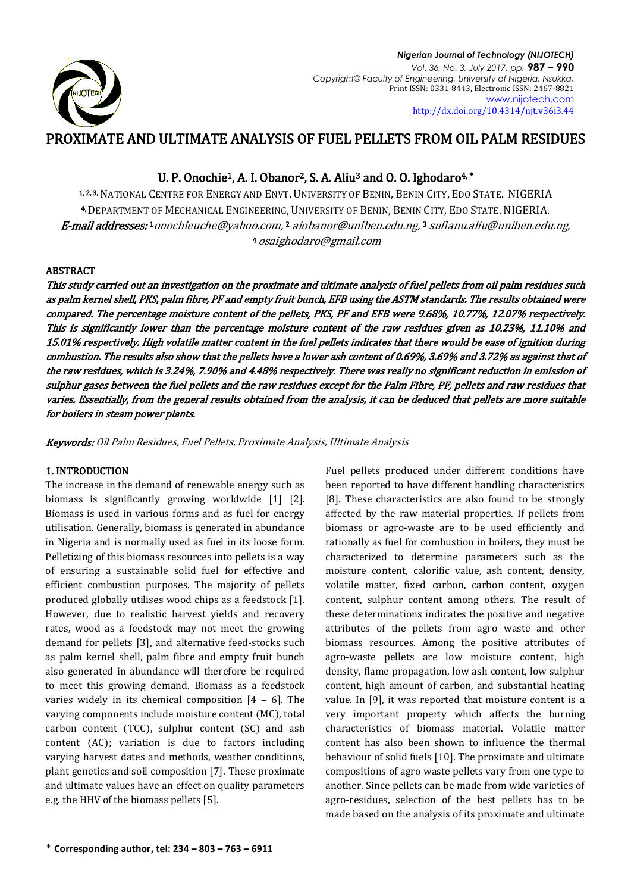

# PROXIMATE AND ULTIMATE ANALYSIS OF FUEL PELLETS FROM OIL PALM RESIDUES

## U. P. Onochie<sup>1</sup>, A. I. Obanor<sup>2</sup>, S. A. Aliu<sup>3</sup> and O. O. Ighodaro<sup>4,\*</sup>

1, 2, 3, NATIONAL CENTRE FOR ENERGY AND ENVT. UNIVERSITY OF BENIN, BENIN CITY, EDO STATE. NIGERIA 4, DEPARTMENT OF MECHANICAL ENGINEERING, UNIVERSITY OF BENIN, BENIN CITY, EDO STATE. NIGERIA. **E-mail addresses:**1[onochieuche@yahoo.com,](mailto:onochieuche@yahoo.com)2 [aiobanor@uniben.edu.ng,](mailto:aiobanor@uniben.edu.ng)3 [sufianu.aliu@uniben.edu.ng,](mailto:sufianu.aliu@uniben.edu.ng) <sup>4</sup>[osaighodaro@gmail.com](mailto:4%20osaighodaro@gmail.com)

## ABSTRACT

This study carried out an investigation on the proximate and ultimate analysis of fuel pellets from oil palm residues such as palm kernel shell, PKS, palm fibre, PF and empty fruit bunch, EFB using the ASTM standards. The results obtained were compared. The percentage moisture content of the pellets, PKS, PF and EFB were 9.68%, 10.77%, 12.07% respectively. This is significantly lower than the percentage moisture content of the raw residues given as 10.23%, 11.10% and 15.01% respectively. High volatile matter content in the fuel pellets indicates that there would be ease of ignition during combustion. The results also show that the pellets have a lower ash content of 0.69%, 3.69% and 3.72% as against that of the raw residues, which is 3.24%, 7.90% and 4.48% respectively. There was really no significant reduction in emission of sulphur gases between the fuel pellets and the raw residues except for the Palm Fibre, PF, pellets and raw residues that varies. Essentially, from the general results obtained from the analysis, it can be deduced that pellets are more suitable for boilers in steam power plants.

Keywords: Oil Palm Residues, Fuel Pellets, Proximate Analysis, Ultimate Analysis

## 1. INTRODUCTION

The increase in the demand of renewable energy such as biomass is significantly growing worldwide [1] [2]. Biomass is used in various forms and as fuel for energy utilisation. Generally, biomass is generated in abundance in Nigeria and is normally used as fuel in its loose form. Pelletizing of this biomass resources into pellets is a way of ensuring a sustainable solid fuel for effective and efficient combustion purposes. The majority of pellets produced globally utilises wood chips as a feedstock [1]. However, due to realistic harvest yields and recovery rates, wood as a feedstock may not meet the growing demand for pellets [3], and alternative feed-stocks such as palm kernel shell, palm fibre and empty fruit bunch also generated in abundance will therefore be required to meet this growing demand. Biomass as a feedstock varies widely in its chemical composition  $[4 - 6]$ . The varying components include moisture content (MC), total carbon content (TCC), sulphur content (SC) and ash content (AC); variation is due to factors including varying harvest dates and methods, weather conditions, plant genetics and soil composition [7]. These proximate and ultimate values have an effect on quality parameters e.g. the HHV of the biomass pellets [5].

Fuel pellets produced under different conditions have been reported to have different handling characteristics [8]. These characteristics are also found to be strongly affected by the raw material properties. If pellets from biomass or agro-waste are to be used efficiently and rationally as fuel for combustion in boilers, they must be characterized to determine parameters such as the moisture content, calorific value, ash content, density, volatile matter, fixed carbon, carbon content, oxygen content, sulphur content among others. The result of these determinations indicates the positive and negative attributes of the pellets from agro waste and other biomass resources. Among the positive attributes of agro-waste pellets are low moisture content, high density, flame propagation, low ash content, low sulphur content, high amount of carbon, and substantial heating value. In [9], it was reported that moisture content is a very important property which affects the burning characteristics of biomass material. Volatile matter content has also been shown to influence the thermal behaviour of solid fuels [10]. The proximate and ultimate compositions of agro waste pellets vary from one type to another. Since pellets can be made from wide varieties of agro-residues, selection of the best pellets has to be made based on the analysis of its proximate and ultimate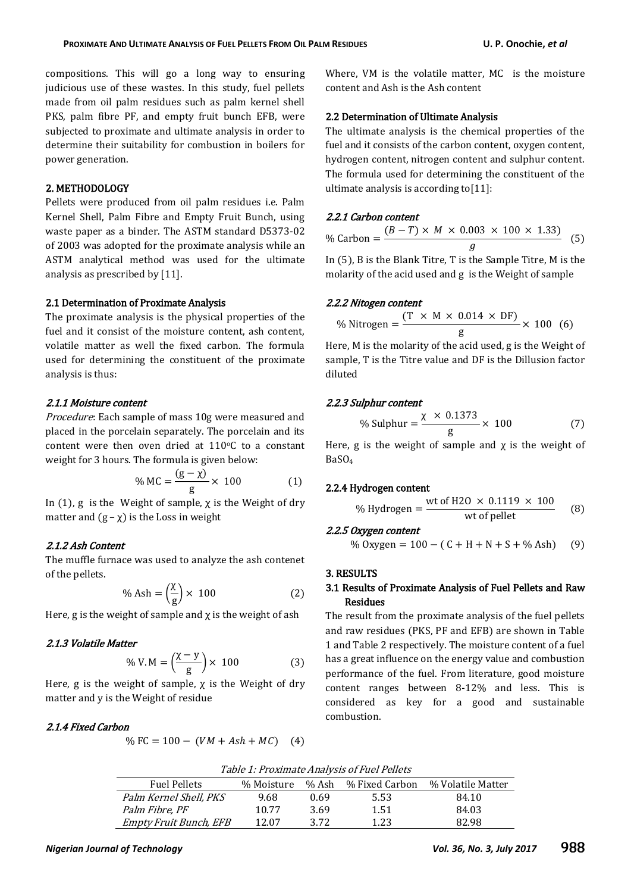compositions. This will go a long way to ensuring judicious use of these wastes. In this study, fuel pellets made from oil palm residues such as palm kernel shell PKS, palm fibre PF, and empty fruit bunch EFB, were subjected to proximate and ultimate analysis in order to determine their suitability for combustion in boilers for power generation.

#### 2. METHODOLOGY

Pellets were produced from oil palm residues i.e. Palm Kernel Shell, Palm Fibre and Empty Fruit Bunch, using waste paper as a binder. The ASTM standard D5373-02 of 2003 was adopted for the proximate analysis while an ASTM analytical method was used for the ultimate analysis as prescribed by [11].

#### 2.1 Determination of Proximate Analysis

The proximate analysis is the physical properties of the fuel and it consist of the moisture content, ash content, volatile matter as well the fixed carbon. The formula used for determining the constituent of the proximate analysis is thus:

#### 2.1.1 Moisture content

Procedure: Each sample of mass 10g were measured and placed in the porcelain separately. The porcelain and its content were then oven dried at  $110^{\circ}$ C to a constant weight for 3 hours. The formula is given below:

$$
\% \text{ MC} = \frac{(\text{g} - \chi)}{\text{g}} \times 100 \tag{1}
$$

In (1), g is the Weight of sample,  $\chi$  is the Weight of dry matter and  $(g - \chi)$  is the Loss in weight

#### 2.1.2 Ash Content

The muffle furnace was used to analyze the ash contenet of the pellets.

$$
\% \text{ Ash} = \left(\frac{\chi}{g}\right) \times 100 \tag{2}
$$

Here, g is the weight of sample and  $\chi$  is the weight of ash

## 2.1.3 Volatile Matter

$$
\% V.M = \left(\frac{\chi - y}{g}\right) \times 100\tag{3}
$$

Here, g is the weight of sample,  $\chi$  is the Weight of dry matter and y is the Weight of residue

## 2.1.4 Fixed Carbon

$$
\% FC = 100 - (VM + Ash + MC) \quad (4)
$$

Where, VM is the volatile matter, MC is the moisture content and Ash is the Ash content

## 2.2 Determination of Ultimate Analysis

The ultimate analysis is the chemical properties of the fuel and it consists of the carbon content, oxygen content, hydrogen content, nitrogen content and sulphur content. The formula used for determining the constituent of the ultimate analysis is according to[11]:

#### 2.2.1 Carbon content

| % Carbon $=\frac{V}{I}$ | $(B-T) \times M \times 0.003 \times 100 \times 1.33$ (5) |  |  |
|-------------------------|----------------------------------------------------------|--|--|
|                         |                                                          |  |  |

In (5), B is the Blank Titre, T is the Sample Titre, M is the molarity of the acid used and g is the Weight of sample

#### 2.2.2 Nitogen content

% Nitrogen  $=$   $\frac{(}$  $\frac{1}{g}$   $\times$ 

Here, M is the molarity of the acid used, g is the Weight of sample, T is the Titre value and DF is the Dillusion factor diluted

## 2.2.3 Sulphur content

% Sulphur = 
$$
\frac{\chi \times 0.1373}{g} \times 100
$$
 (7)

Here, g is the weight of sample and  $\chi$  is the weight of BaSO<sup>4</sup>

#### 2.2.4 Hydrogen content

% Hydrogen = 
$$
\frac{\text{wt of H2O} \times 0.1119 \times 100}{\text{wt of pellet}}
$$
 (8)

## 2.2.5 Oxygen content

% Oxygen =  $100 - (C + H + N + S + %$  Ash  $(9)$ 

#### 3. RESULTS

## 3.1 Results of Proximate Analysis of Fuel Pellets and Raw Residues

The result from the proximate analysis of the fuel pellets and raw residues (PKS, PF and EFB) are shown in Table 1 and Table 2 respectively. The moisture content of a fuel has a great influence on the energy value and combustion performance of the fuel. From literature, good moisture content ranges between 8-12% and less. This is considered as key for a good and sustainable combustion.

| Table 1: Proximate Analysis of Fuel Pellets |  |  |  |  |
|---------------------------------------------|--|--|--|--|
|---------------------------------------------|--|--|--|--|

| <b>Fuel Pellets</b>    | % Moisture | % Ash | % Fixed Carbon | % Volatile Matter |
|------------------------|------------|-------|----------------|-------------------|
| Palm Kernel Shell, PKS | 9.68       | 0.69  | 5.53           | 84.10             |
| Palm Fibre, PF         | 10.77      | 3.69  | 1.51           | 84.03             |
| Empty Fruit Bunch, EFB | 12.07      | 3.72  | 1.23           | 82.98             |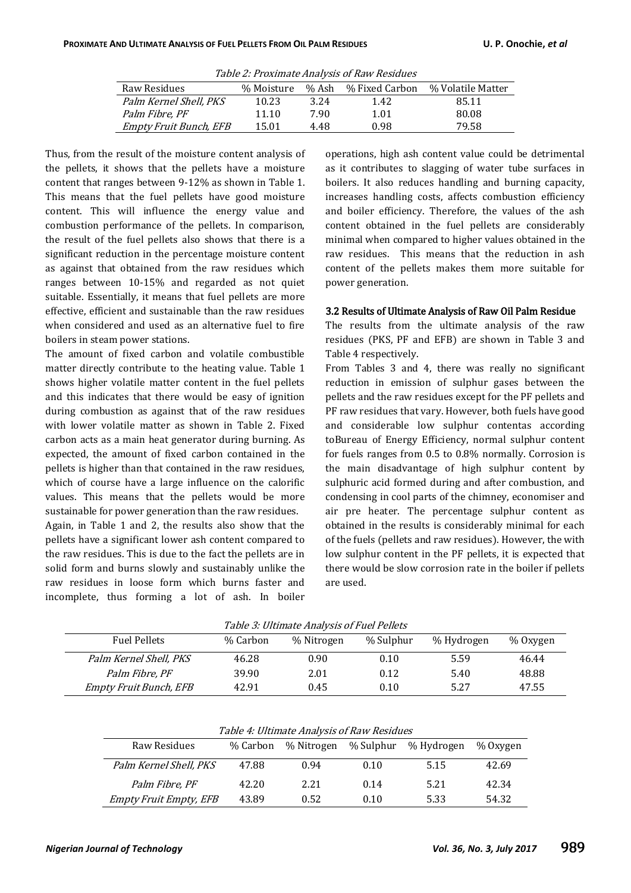| 10010 <b>=</b> 111011111010 111101   010 01 110 11 110010100 |            |       |                |                   |  |  |
|--------------------------------------------------------------|------------|-------|----------------|-------------------|--|--|
| Raw Residues                                                 | % Moisture | % Ash | % Fixed Carbon | % Volatile Matter |  |  |
| Palm Kernel Shell, PKS                                       | 10.23      | 3.24  | 1.42           | 85.11             |  |  |
| Palm Fibre. PF                                               | 11.10      | 7.90  | 1.01           | 80.08             |  |  |
| <b>Empty Fruit Bunch, EFB</b>                                | 15.01      | 4.48  | 0.98           | 79.58             |  |  |

Table 2: Proximate Analysis of Raw Residues

Thus, from the result of the moisture content analysis of the pellets, it shows that the pellets have a moisture content that ranges between 9-12% as shown in Table 1. This means that the fuel pellets have good moisture content. This will influence the energy value and combustion performance of the pellets. In comparison, the result of the fuel pellets also shows that there is a significant reduction in the percentage moisture content as against that obtained from the raw residues which ranges between 10-15% and regarded as not quiet suitable. Essentially, it means that fuel pellets are more effective, efficient and sustainable than the raw residues when considered and used as an alternative fuel to fire boilers in steam power stations.

The amount of fixed carbon and volatile combustible matter directly contribute to the heating value. Table 1 shows higher volatile matter content in the fuel pellets and this indicates that there would be easy of ignition during combustion as against that of the raw residues with lower volatile matter as shown in Table 2. Fixed carbon acts as a main heat generator during burning. As expected, the amount of fixed carbon contained in the pellets is higher than that contained in the raw residues, which of course have a large influence on the calorific values. This means that the pellets would be more sustainable for power generation than the raw residues.

Again, in Table 1 and 2, the results also show that the pellets have a significant lower ash content compared to the raw residues. This is due to the fact the pellets are in solid form and burns slowly and sustainably unlike the raw residues in loose form which burns faster and incomplete, thus forming a lot of ash. In boiler

operations, high ash content value could be detrimental as it contributes to slagging of water tube surfaces in boilers. It also reduces handling and burning capacity, increases handling costs, affects combustion efficiency and boiler efficiency. Therefore, the values of the ash content obtained in the fuel pellets are considerably minimal when compared to higher values obtained in the raw residues. This means that the reduction in ash content of the pellets makes them more suitable for power generation.

#### 3.2 Results of Ultimate Analysis of Raw Oil Palm Residue

The results from the ultimate analysis of the raw residues (PKS, PF and EFB) are shown in Table 3 and Table 4 respectively.

From Tables 3 and 4, there was really no significant reduction in emission of sulphur gases between the pellets and the raw residues except for the PF pellets and PF raw residues that vary. However, both fuels have good and considerable low sulphur contentas according toBureau of Energy Efficiency, normal sulphur content for fuels ranges from 0.5 to 0.8% normally. Corrosion is the main disadvantage of high sulphur content by sulphuric acid formed during and after combustion, and condensing in cool parts of the chimney, economiser and air pre heater. The percentage sulphur content as obtained in the results is considerably minimal for each of the fuels (pellets and raw residues). However, the with low sulphur content in the PF pellets, it is expected that there would be slow corrosion rate in the boiler if pellets are used.

| Table 3: Ultimate Analysis of Fuel Pellets |  |  |
|--------------------------------------------|--|--|
|                                            |  |  |

| Table 5. Gitmate mary 315 61 I act I chets |          |            |           |            |          |  |
|--------------------------------------------|----------|------------|-----------|------------|----------|--|
| <b>Fuel Pellets</b>                        | % Carbon | % Nitrogen | % Sulphur | % Hydrogen | % Oxygen |  |
| Palm Kernel Shell, PKS                     | 46.28    | 0.90       | 0.10      | 5.59       | 46.44    |  |
| Palm Fibre, PF                             | 39.90    | 2.01       | 0.12      | 5.40       | 48.88    |  |
| <b>Empty Fruit Bunch, EFB</b>              | 42.91    | 0.45       | 0.10      | 5.27       | 47.55    |  |

| Table 4: Ultimate Analysis of Raw Residues                                    |       |      |      |      |       |  |  |
|-------------------------------------------------------------------------------|-------|------|------|------|-------|--|--|
| % Sulphur<br>Raw Residues<br>% Carbon<br>% Nitrogen<br>% Hydrogen<br>% Oxygen |       |      |      |      |       |  |  |
| Palm Kernel Shell, PKS                                                        | 47.88 | 0.94 | 0.10 | 5.15 | 42.69 |  |  |
| Palm Fibre, PF                                                                | 42.20 | 2.21 | 0.14 | 5.21 | 42.34 |  |  |
| <i>Empty Fruit Empty, EFB</i>                                                 | 43.89 | 0.52 | 0.10 | 5.33 | 54.32 |  |  |